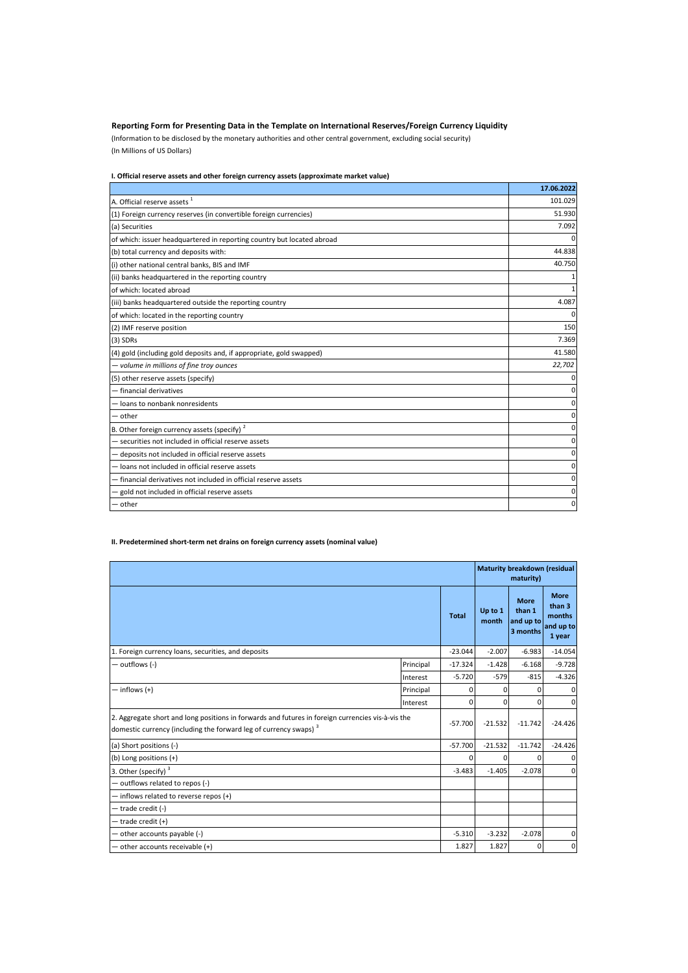## **Reporting Form for Presenting Data in the Template on International Reserves/Foreign Currency Liquidity**

(Information to be disclosed by the monetary authorities and other central government, excluding social security) (In Millions of US Dollars)

## **I. Official reserve assets and other foreign currency assets (approximate market value)**

|                                                                        | 17.06.2022 |
|------------------------------------------------------------------------|------------|
| A. Official reserve assets <sup>1</sup>                                | 101.029    |
| (1) Foreign currency reserves (in convertible foreign currencies)      | 51.930     |
| (a) Securities                                                         | 7.092      |
| of which: issuer headquartered in reporting country but located abroad | ŋ          |
| (b) total currency and deposits with:                                  | 44.838     |
| (i) other national central banks, BIS and IMF                          | 40.750     |
| (ii) banks headquartered in the reporting country                      |            |
| of which: located abroad                                               |            |
| (iii) banks headquartered outside the reporting country                | 4.087      |
| of which: located in the reporting country                             | 0          |
| (2) IMF reserve position                                               | 150        |
| $(3)$ SDRs                                                             | 7.369      |
| (4) gold (including gold deposits and, if appropriate, gold swapped)   | 41.580     |
| - volume in millions of fine troy ounces                               | 22,702     |
| (5) other reserve assets (specify)                                     | 0          |
| - financial derivatives                                                | 0          |
| - loans to nonbank nonresidents                                        | 0          |
| other                                                                  | 0          |
| B. Other foreign currency assets (specify) <sup>2</sup>                | 0          |
| - securities not included in official reserve assets                   | 0          |
| deposits not included in official reserve assets                       | 0          |
| loans not included in official reserve assets                          | 0          |
| - financial derivatives not included in official reserve assets        | 0          |
| gold not included in official reserve assets                           | 0          |
| other                                                                  | 0          |

## **II. Predetermined short-term net drains on foreign currency assets (nominal value)**

|                                                                                                                                                                                   |           |              | Maturity breakdown (residual<br>maturity) |                                                |                                                        |
|-----------------------------------------------------------------------------------------------------------------------------------------------------------------------------------|-----------|--------------|-------------------------------------------|------------------------------------------------|--------------------------------------------------------|
|                                                                                                                                                                                   |           | <b>Total</b> | Up to 1<br>month                          | <b>More</b><br>than 1<br>and up to<br>3 months | <b>More</b><br>than 3<br>months<br>and up to<br>1 year |
| 1. Foreign currency loans, securities, and deposits                                                                                                                               |           | $-23.044$    | $-2.007$                                  | $-6.983$                                       | $-14.054$                                              |
| — outflows (-)                                                                                                                                                                    | Principal | $-17.324$    | $-1.428$                                  | $-6.168$                                       | $-9.728$                                               |
|                                                                                                                                                                                   | Interest  | $-5.720$     | $-579$                                    | $-815$                                         | $-4.326$                                               |
| $-$ inflows $(+)$                                                                                                                                                                 | Principal | <sup>0</sup> | $\Omega$                                  | 0                                              | $\mathbf{0}$                                           |
|                                                                                                                                                                                   | Interest  | $\Omega$     | $\Omega$                                  | 0                                              | $\mathbf 0$                                            |
| 2. Aggregate short and long positions in forwards and futures in foreign currencies vis-à-vis the<br>domestic currency (including the forward leg of currency swaps) <sup>3</sup> |           | $-57.700$    | $-21.532$                                 | $-11.742$                                      | $-24.426$                                              |
| (a) Short positions (-)                                                                                                                                                           |           | $-57.700$    | $-21.532$                                 | $-11.742$                                      | $-24.426$                                              |
| (b) Long positions (+)                                                                                                                                                            |           | n            | $\Omega$                                  | O                                              | $\mathbf{0}$                                           |
| 3. Other (specify) <sup>3</sup>                                                                                                                                                   |           | $-3.483$     | $-1.405$                                  | $-2.078$                                       | $\mathbf 0$                                            |
| - outflows related to repos (-)                                                                                                                                                   |           |              |                                           |                                                |                                                        |
| - inflows related to reverse repos (+)                                                                                                                                            |           |              |                                           |                                                |                                                        |
| - trade credit (-)                                                                                                                                                                |           |              |                                           |                                                |                                                        |
| - trade credit (+)                                                                                                                                                                |           |              |                                           |                                                |                                                        |
| - other accounts payable (-)                                                                                                                                                      |           | $-5.310$     | $-3.232$                                  | $-2.078$                                       | $\mathbf 0$                                            |
| other accounts receivable (+)                                                                                                                                                     |           | 1.827        | 1.827                                     | ŋ                                              | $\mathbf 0$                                            |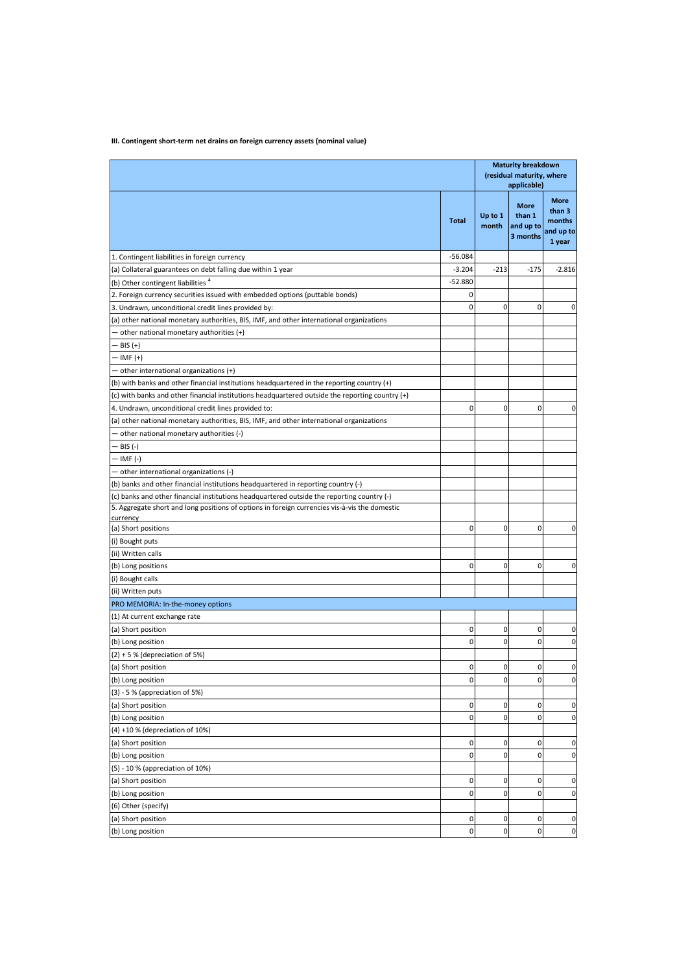# **III. Contingent short-term net drains on foreign currency assets (nominal value)**

|                                                                                                                                                                                             |              | <b>Maturity breakdown</b><br>(residual maturity, where<br>applicable) |                                                |                                                        |
|---------------------------------------------------------------------------------------------------------------------------------------------------------------------------------------------|--------------|-----------------------------------------------------------------------|------------------------------------------------|--------------------------------------------------------|
|                                                                                                                                                                                             | <b>Total</b> | Up to 1<br>month                                                      | <b>More</b><br>than 1<br>and up to<br>3 months | <b>More</b><br>than 3<br>months<br>and up to<br>1 year |
| 1. Contingent liabilities in foreign currency                                                                                                                                               | $-56.084$    |                                                                       |                                                |                                                        |
| (a) Collateral guarantees on debt falling due within 1 year                                                                                                                                 | $-3.204$     | $-213$                                                                | $-175$                                         | $-2.816$                                               |
| (b) Other contingent liabilities <sup>4</sup>                                                                                                                                               | $-52.880$    |                                                                       |                                                |                                                        |
| 2. Foreign currency securities issued with embedded options (puttable bonds)                                                                                                                | 0            |                                                                       |                                                |                                                        |
| 3. Undrawn, unconditional credit lines provided by:                                                                                                                                         | 0            | 0                                                                     | 0                                              | 0                                                      |
| (a) other national monetary authorities, BIS, IMF, and other international organizations                                                                                                    |              |                                                                       |                                                |                                                        |
| - other national monetary authorities (+)                                                                                                                                                   |              |                                                                       |                                                |                                                        |
| BIS (+)                                                                                                                                                                                     |              |                                                                       |                                                |                                                        |
| – IMF (+)                                                                                                                                                                                   |              |                                                                       |                                                |                                                        |
| other international organizations (+)                                                                                                                                                       |              |                                                                       |                                                |                                                        |
| (b) with banks and other financial institutions headquartered in the reporting country (+)                                                                                                  |              |                                                                       |                                                |                                                        |
| (c) with banks and other financial institutions headquartered outside the reporting country (+)                                                                                             |              |                                                                       |                                                |                                                        |
| 4. Undrawn, unconditional credit lines provided to:                                                                                                                                         | 0            | 0                                                                     | 0                                              | 0                                                      |
| (a) other national monetary authorities, BIS, IMF, and other international organizations                                                                                                    |              |                                                                       |                                                |                                                        |
|                                                                                                                                                                                             |              |                                                                       |                                                |                                                        |
| other national monetary authorities (-)                                                                                                                                                     |              |                                                                       |                                                |                                                        |
| – BIS (-)                                                                                                                                                                                   |              |                                                                       |                                                |                                                        |
| · IMF (-)                                                                                                                                                                                   |              |                                                                       |                                                |                                                        |
| - other international organizations (-)                                                                                                                                                     |              |                                                                       |                                                |                                                        |
| (b) banks and other financial institutions headquartered in reporting country (-)                                                                                                           |              |                                                                       |                                                |                                                        |
| (c) banks and other financial institutions headquartered outside the reporting country (-)<br>5. Aggregate short and long positions of options in foreign currencies vis-à-vis the domestic |              |                                                                       |                                                |                                                        |
| currency                                                                                                                                                                                    |              |                                                                       |                                                |                                                        |
| (a) Short positions                                                                                                                                                                         | 0            | 0                                                                     | 0                                              | 0                                                      |
| (i) Bought puts                                                                                                                                                                             |              |                                                                       |                                                |                                                        |
| (ii) Written calls                                                                                                                                                                          |              |                                                                       |                                                |                                                        |
| (b) Long positions                                                                                                                                                                          | 0            | 0                                                                     | $\mathbf 0$                                    | $\mathbf 0$                                            |
| (i) Bought calls                                                                                                                                                                            |              |                                                                       |                                                |                                                        |
| (ii) Written puts                                                                                                                                                                           |              |                                                                       |                                                |                                                        |
| PRO MEMORIA: In-the-money options                                                                                                                                                           |              |                                                                       |                                                |                                                        |
| (1) At current exchange rate                                                                                                                                                                |              |                                                                       |                                                |                                                        |
| (a) Short position                                                                                                                                                                          | 0            | 0                                                                     | 0                                              | 0                                                      |
| (b) Long position                                                                                                                                                                           | 0            | 0                                                                     | 0                                              | $\mathbf 0$                                            |
| $(2) + 5$ % (depreciation of 5%)                                                                                                                                                            |              |                                                                       |                                                |                                                        |
| (a) Short position                                                                                                                                                                          | 0            | 0                                                                     | 0                                              | 0                                                      |
| (b) Long position                                                                                                                                                                           | 0            | 0                                                                     | $\overline{0}$                                 | 0                                                      |
| $(3) - 5$ % (appreciation of 5%)                                                                                                                                                            |              |                                                                       |                                                |                                                        |
| (a) Short position                                                                                                                                                                          | 0            | 0                                                                     | 0                                              | 0                                                      |
| (b) Long position                                                                                                                                                                           | 0            | 0                                                                     | 0                                              | $\mathbf 0$                                            |
|                                                                                                                                                                                             |              |                                                                       |                                                |                                                        |
| (4) +10 % (depreciation of 10%)                                                                                                                                                             |              |                                                                       |                                                |                                                        |
| (a) Short position                                                                                                                                                                          | 0            | 0                                                                     | 0                                              | $\mathbf 0$<br>$\mathbf 0$                             |
| (b) Long position                                                                                                                                                                           | 0            | 0                                                                     | 0                                              |                                                        |
| (5) - 10 % (appreciation of 10%)                                                                                                                                                            |              |                                                                       |                                                |                                                        |
| (a) Short position                                                                                                                                                                          | 0            | 0                                                                     | 0                                              | $\mathbf 0$                                            |
| (b) Long position                                                                                                                                                                           | 0            | 0                                                                     | 0                                              | $\mathbf 0$                                            |
| (6) Other (specify)                                                                                                                                                                         |              |                                                                       |                                                |                                                        |
| (a) Short position                                                                                                                                                                          | 0            | 0                                                                     | $\mathbf 0$                                    | $\mathbf 0$                                            |
| (b) Long position                                                                                                                                                                           | 0            | 0                                                                     | 0                                              | 0                                                      |